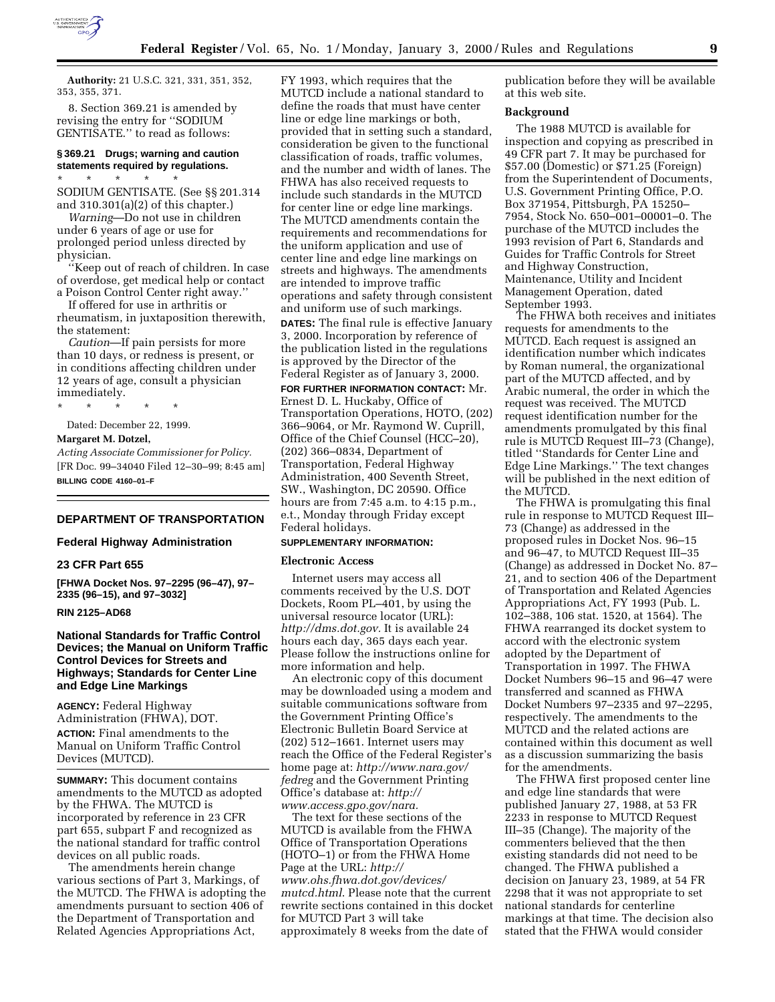

**Authority:** 21 U.S.C. 321, 331, 351, 352, 353, 355, 371.

8. Section 369.21 is amended by revising the entry for ''SODIUM GENTISATE.'' to read as follows:

# **§ 369.21 Drugs; warning and caution statements required by regulations.**

\* \* \* \* \* SODIUM GENTISATE. (See §§ 201.314 and 310.301(a)(2) of this chapter.)

*Warning*—Do not use in children under 6 years of age or use for prolonged period unless directed by physician.

''Keep out of reach of children. In case of overdose, get medical help or contact a Poison Control Center right away.''

If offered for use in arthritis or rheumatism, in juxtaposition therewith, the statement:

*Caution*—If pain persists for more than 10 days, or redness is present, or in conditions affecting children under 12 years of age, consult a physician immediately.

\* \* \* \* \*

Dated: December 22, 1999.

#### **Margaret M. Dotzel,**

*Acting Associate Commissioner for Policy.* [FR Doc. 99–34040 Filed 12–30–99; 8:45 am] **BILLING CODE 4160–01–F**

# **DEPARTMENT OF TRANSPORTATION**

### **Federal Highway Administration**

### **23 CFR Part 655**

**[FHWA Docket Nos. 97–2295 (96–47), 97– 2335 (96–15), and 97–3032]**

### **RIN 2125–AD68**

# **National Standards for Traffic Control Devices; the Manual on Uniform Traffic Control Devices for Streets and Highways; Standards for Center Line and Edge Line Markings**

**AGENCY:** Federal Highway Administration (FHWA), DOT.

**ACTION:** Final amendments to the Manual on Uniform Traffic Control Devices (MUTCD).

**SUMMARY:** This document contains amendments to the MUTCD as adopted by the FHWA. The MUTCD is incorporated by reference in 23 CFR part 655, subpart F and recognized as the national standard for traffic control devices on all public roads.

The amendments herein change various sections of Part 3, Markings, of the MUTCD. The FHWA is adopting the amendments pursuant to section 406 of the Department of Transportation and Related Agencies Appropriations Act,

FY 1993, which requires that the MUTCD include a national standard to define the roads that must have center line or edge line markings or both, provided that in setting such a standard, consideration be given to the functional classification of roads, traffic volumes, and the number and width of lanes. The FHWA has also received requests to include such standards in the MUTCD for center line or edge line markings. The MUTCD amendments contain the requirements and recommendations for the uniform application and use of center line and edge line markings on streets and highways. The amendments are intended to improve traffic operations and safety through consistent and uniform use of such markings.

**DATES:** The final rule is effective January 3, 2000. Incorporation by reference of the publication listed in the regulations is approved by the Director of the Federal Register as of January 3, 2000.

**FOR FURTHER INFORMATION CONTACT:** Mr. Ernest D. L. Huckaby, Office of Transportation Operations, HOTO, (202) 366–9064, or Mr. Raymond W. Cuprill, Office of the Chief Counsel (HCC–20), (202) 366–0834, Department of Transportation, Federal Highway Administration, 400 Seventh Street, SW., Washington, DC 20590. Office hours are from 7:45 a.m. to 4:15 p.m., e.t., Monday through Friday except Federal holidays.

# **SUPPLEMENTARY INFORMATION:**

### **Electronic Access**

Internet users may access all comments received by the U.S. DOT Dockets, Room PL–401, by using the universal resource locator (URL): *http://dms.dot.gov.* It is available 24 hours each day, 365 days each year. Please follow the instructions online for more information and help.

An electronic copy of this document may be downloaded using a modem and suitable communications software from the Government Printing Office's Electronic Bulletin Board Service at (202) 512–1661. Internet users may reach the Office of the Federal Register's home page at: *http://www.nara.gov/ fedreg* and the Government Printing Office's database at: *http:// www.access.gpo.gov/nara.*

The text for these sections of the MUTCD is available from the FHWA Office of Transportation Operations (HOTO–1) or from the FHWA Home Page at the URL: *http:// www.ohs.fhwa.dot.gov/devices/ mutcd.html*. Please note that the current rewrite sections contained in this docket for MUTCD Part 3 will take approximately 8 weeks from the date of

publication before they will be available at this web site.

#### **Background**

The 1988 MUTCD is available for inspection and copying as prescribed in 49 CFR part 7. It may be purchased for \$57.00 (Domestic) or \$71.25 (Foreign) from the Superintendent of Documents, U.S. Government Printing Office, P.O. Box 371954, Pittsburgh, PA 15250– 7954, Stock No. 650–001–00001–0. The purchase of the MUTCD includes the 1993 revision of Part 6, Standards and Guides for Traffic Controls for Street and Highway Construction, Maintenance, Utility and Incident Management Operation, dated September 1993.

The FHWA both receives and initiates requests for amendments to the MUTCD. Each request is assigned an identification number which indicates by Roman numeral, the organizational part of the MUTCD affected, and by Arabic numeral, the order in which the request was received. The MUTCD request identification number for the amendments promulgated by this final rule is MUTCD Request III–73 (Change), titled ''Standards for Center Line and Edge Line Markings.'' The text changes will be published in the next edition of the MUTCD.

The FHWA is promulgating this final rule in response to MUTCD Request III– 73 (Change) as addressed in the proposed rules in Docket Nos. 96–15 and 96–47, to MUTCD Request III–35 (Change) as addressed in Docket No. 87– 21, and to section 406 of the Department of Transportation and Related Agencies Appropriations Act, FY 1993 (Pub. L. 102–388, 106 stat. 1520, at 1564). The FHWA rearranged its docket system to accord with the electronic system adopted by the Department of Transportation in 1997. The FHWA Docket Numbers 96–15 and 96–47 were transferred and scanned as FHWA Docket Numbers 97–2335 and 97–2295, respectively. The amendments to the MUTCD and the related actions are contained within this document as well as a discussion summarizing the basis for the amendments.

The FHWA first proposed center line and edge line standards that were published January 27, 1988, at 53 FR 2233 in response to MUTCD Request III–35 (Change). The majority of the commenters believed that the then existing standards did not need to be changed. The FHWA published a decision on January 23, 1989, at 54 FR 2298 that it was not appropriate to set national standards for centerline markings at that time. The decision also stated that the FHWA would consider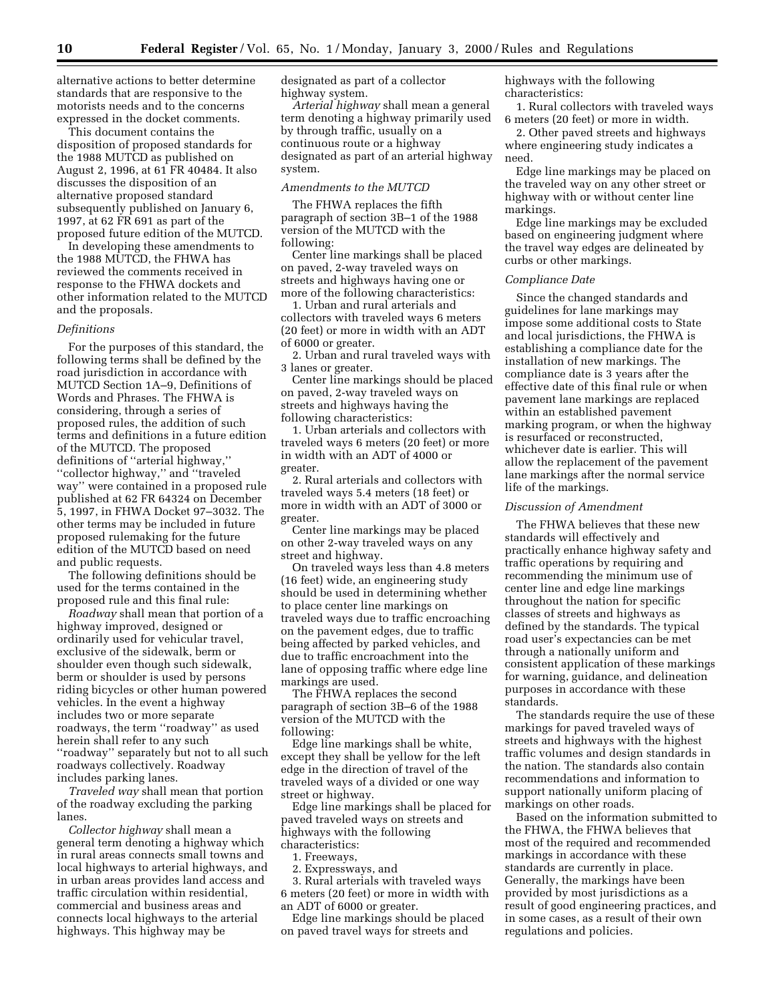alternative actions to better determine standards that are responsive to the motorists needs and to the concerns expressed in the docket comments.

This document contains the disposition of proposed standards for the 1988 MUTCD as published on August 2, 1996, at 61 FR 40484. It also discusses the disposition of an alternative proposed standard subsequently published on January 6, 1997, at 62 FR 691 as part of the proposed future edition of the MUTCD.

In developing these amendments to the 1988 MUTCD, the FHWA has reviewed the comments received in response to the FHWA dockets and other information related to the MUTCD and the proposals.

#### *Definitions*

For the purposes of this standard, the following terms shall be defined by the road jurisdiction in accordance with MUTCD Section 1A–9, Definitions of Words and Phrases. The FHWA is considering, through a series of proposed rules, the addition of such terms and definitions in a future edition of the MUTCD. The proposed definitions of ''arterial highway,'' ''collector highway,'' and ''traveled way'' were contained in a proposed rule published at 62 FR 64324 on December 5, 1997, in FHWA Docket 97–3032. The other terms may be included in future proposed rulemaking for the future edition of the MUTCD based on need and public requests.

The following definitions should be used for the terms contained in the proposed rule and this final rule:

*Roadway* shall mean that portion of a highway improved, designed or ordinarily used for vehicular travel, exclusive of the sidewalk, berm or shoulder even though such sidewalk, berm or shoulder is used by persons riding bicycles or other human powered vehicles. In the event a highway includes two or more separate roadways, the term ''roadway'' as used herein shall refer to any such ''roadway'' separately but not to all such roadways collectively. Roadway includes parking lanes.

*Traveled way* shall mean that portion of the roadway excluding the parking lanes.

*Collector highway* shall mean a general term denoting a highway which in rural areas connects small towns and local highways to arterial highways, and in urban areas provides land access and traffic circulation within residential, commercial and business areas and connects local highways to the arterial highways. This highway may be

designated as part of a collector highway system.

*Arterial highway* shall mean a general term denoting a highway primarily used by through traffic, usually on a continuous route or a highway designated as part of an arterial highway system.

### *Amendments to the MUTCD*

The FHWA replaces the fifth paragraph of section 3B–1 of the 1988 version of the MUTCD with the following:

Center line markings shall be placed on paved, 2-way traveled ways on streets and highways having one or more of the following characteristics:

1. Urban and rural arterials and collectors with traveled ways 6 meters (20 feet) or more in width with an ADT of 6000 or greater.

2. Urban and rural traveled ways with 3 lanes or greater.

Center line markings should be placed on paved, 2-way traveled ways on streets and highways having the following characteristics:

1. Urban arterials and collectors with traveled ways 6 meters (20 feet) or more in width with an ADT of 4000 or greater.

2. Rural arterials and collectors with traveled ways 5.4 meters (18 feet) or more in width with an ADT of 3000 or greater.

Center line markings may be placed on other 2-way traveled ways on any street and highway.

On traveled ways less than 4.8 meters (16 feet) wide, an engineering study should be used in determining whether to place center line markings on traveled ways due to traffic encroaching on the pavement edges, due to traffic being affected by parked vehicles, and due to traffic encroachment into the lane of opposing traffic where edge line markings are used.

The FHWA replaces the second paragraph of section 3B–6 of the 1988 version of the MUTCD with the following:

Edge line markings shall be white, except they shall be yellow for the left edge in the direction of travel of the traveled ways of a divided or one way street or highway.

Edge line markings shall be placed for paved traveled ways on streets and highways with the following characteristics:

1. Freeways,

2. Expressways, and

3. Rural arterials with traveled ways 6 meters (20 feet) or more in width with an ADT of 6000 or greater.

Edge line markings should be placed on paved travel ways for streets and

highways with the following characteristics:

1. Rural collectors with traveled ways 6 meters (20 feet) or more in width.

2. Other paved streets and highways where engineering study indicates a need.

Edge line markings may be placed on the traveled way on any other street or highway with or without center line markings.

Edge line markings may be excluded based on engineering judgment where the travel way edges are delineated by curbs or other markings.

### *Compliance Date*

Since the changed standards and guidelines for lane markings may impose some additional costs to State and local jurisdictions, the FHWA is establishing a compliance date for the installation of new markings. The compliance date is 3 years after the effective date of this final rule or when pavement lane markings are replaced within an established pavement marking program, or when the highway is resurfaced or reconstructed, whichever date is earlier. This will allow the replacement of the pavement lane markings after the normal service life of the markings.

### *Discussion of Amendment*

The FHWA believes that these new standards will effectively and practically enhance highway safety and traffic operations by requiring and recommending the minimum use of center line and edge line markings throughout the nation for specific classes of streets and highways as defined by the standards. The typical road user's expectancies can be met through a nationally uniform and consistent application of these markings for warning, guidance, and delineation purposes in accordance with these standards.

The standards require the use of these markings for paved traveled ways of streets and highways with the highest traffic volumes and design standards in the nation. The standards also contain recommendations and information to support nationally uniform placing of markings on other roads.

Based on the information submitted to the FHWA, the FHWA believes that most of the required and recommended markings in accordance with these standards are currently in place. Generally, the markings have been provided by most jurisdictions as a result of good engineering practices, and in some cases, as a result of their own regulations and policies.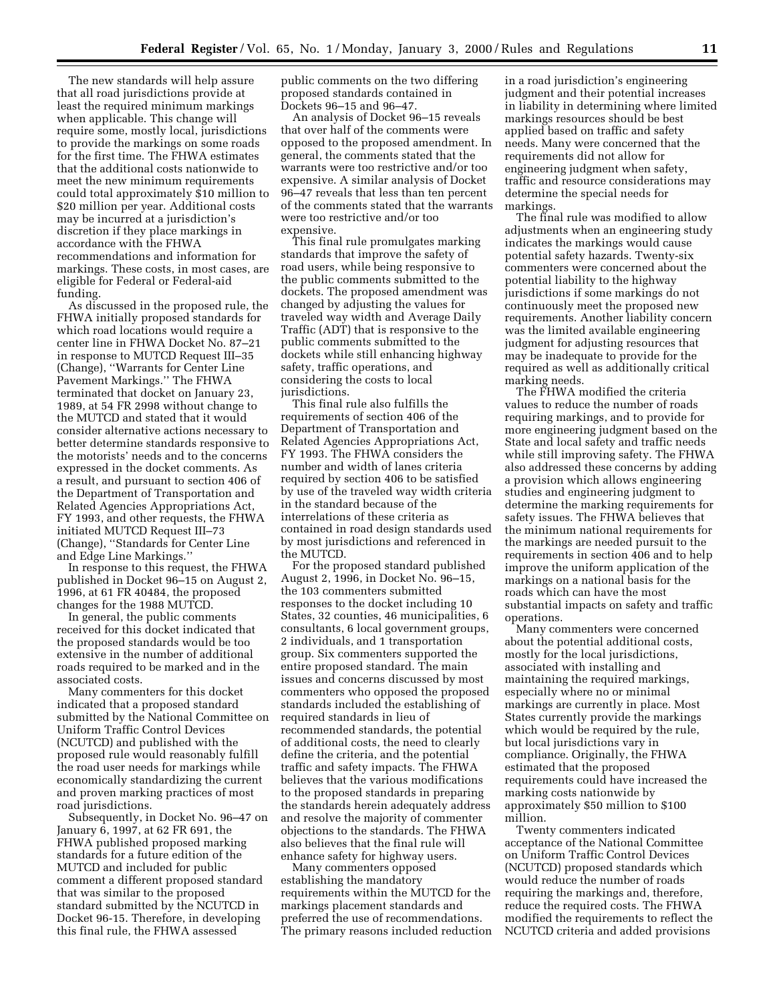The new standards will help assure that all road jurisdictions provide at least the required minimum markings when applicable. This change will require some, mostly local, jurisdictions to provide the markings on some roads for the first time. The FHWA estimates that the additional costs nationwide to meet the new minimum requirements could total approximately \$10 million to \$20 million per year. Additional costs may be incurred at a jurisdiction's discretion if they place markings in accordance with the FHWA recommendations and information for markings. These costs, in most cases, are eligible for Federal or Federal-aid funding.

As discussed in the proposed rule, the FHWA initially proposed standards for which road locations would require a center line in FHWA Docket No. 87–21 in response to MUTCD Request III–35 (Change), ''Warrants for Center Line Pavement Markings.'' The FHWA terminated that docket on January 23, 1989, at 54 FR 2998 without change to the MUTCD and stated that it would consider alternative actions necessary to better determine standards responsive to the motorists' needs and to the concerns expressed in the docket comments. As a result, and pursuant to section 406 of the Department of Transportation and Related Agencies Appropriations Act, FY 1993, and other requests, the FHWA initiated MUTCD Request III–73 (Change), ''Standards for Center Line and Edge Line Markings.''

In response to this request, the FHWA published in Docket 96–15 on August 2, 1996, at 61 FR 40484, the proposed changes for the 1988 MUTCD.

In general, the public comments received for this docket indicated that the proposed standards would be too extensive in the number of additional roads required to be marked and in the associated costs.

Many commenters for this docket indicated that a proposed standard submitted by the National Committee on Uniform Traffic Control Devices (NCUTCD) and published with the proposed rule would reasonably fulfill the road user needs for markings while economically standardizing the current and proven marking practices of most road jurisdictions.

Subsequently, in Docket No. 96–47 on January 6, 1997, at 62 FR 691, the FHWA published proposed marking standards for a future edition of the MUTCD and included for public comment a different proposed standard that was similar to the proposed standard submitted by the NCUTCD in Docket 96-15. Therefore, in developing this final rule, the FHWA assessed

public comments on the two differing proposed standards contained in Dockets 96–15 and 96–47.

An analysis of Docket 96–15 reveals that over half of the comments were opposed to the proposed amendment. In general, the comments stated that the warrants were too restrictive and/or too expensive. A similar analysis of Docket 96–47 reveals that less than ten percent of the comments stated that the warrants were too restrictive and/or too expensive.

This final rule promulgates marking standards that improve the safety of road users, while being responsive to the public comments submitted to the dockets. The proposed amendment was changed by adjusting the values for traveled way width and Average Daily Traffic (ADT) that is responsive to the public comments submitted to the dockets while still enhancing highway safety, traffic operations, and considering the costs to local jurisdictions.

This final rule also fulfills the requirements of section 406 of the Department of Transportation and Related Agencies Appropriations Act, FY 1993. The FHWA considers the number and width of lanes criteria required by section 406 to be satisfied by use of the traveled way width criteria in the standard because of the interrelations of these criteria as contained in road design standards used by most jurisdictions and referenced in the MUTCD.

For the proposed standard published August 2, 1996, in Docket No. 96–15, the 103 commenters submitted responses to the docket including 10 States, 32 counties, 46 municipalities, 6 consultants, 6 local government groups, 2 individuals, and 1 transportation group. Six commenters supported the entire proposed standard. The main issues and concerns discussed by most commenters who opposed the proposed standards included the establishing of required standards in lieu of recommended standards, the potential of additional costs, the need to clearly define the criteria, and the potential traffic and safety impacts. The FHWA believes that the various modifications to the proposed standards in preparing the standards herein adequately address and resolve the majority of commenter objections to the standards. The FHWA also believes that the final rule will enhance safety for highway users.

Many commenters opposed establishing the mandatory requirements within the MUTCD for the markings placement standards and preferred the use of recommendations. The primary reasons included reduction

in a road jurisdiction's engineering judgment and their potential increases in liability in determining where limited markings resources should be best applied based on traffic and safety needs. Many were concerned that the requirements did not allow for engineering judgment when safety, traffic and resource considerations may determine the special needs for markings.

The final rule was modified to allow adjustments when an engineering study indicates the markings would cause potential safety hazards. Twenty-six commenters were concerned about the potential liability to the highway jurisdictions if some markings do not continuously meet the proposed new requirements. Another liability concern was the limited available engineering judgment for adjusting resources that may be inadequate to provide for the required as well as additionally critical marking needs.

The FHWA modified the criteria values to reduce the number of roads requiring markings, and to provide for more engineering judgment based on the State and local safety and traffic needs while still improving safety. The FHWA also addressed these concerns by adding a provision which allows engineering studies and engineering judgment to determine the marking requirements for safety issues. The FHWA believes that the minimum national requirements for the markings are needed pursuit to the requirements in section 406 and to help improve the uniform application of the markings on a national basis for the roads which can have the most substantial impacts on safety and traffic operations.

Many commenters were concerned about the potential additional costs, mostly for the local jurisdictions, associated with installing and maintaining the required markings, especially where no or minimal markings are currently in place. Most States currently provide the markings which would be required by the rule, but local jurisdictions vary in compliance. Originally, the FHWA estimated that the proposed requirements could have increased the marking costs nationwide by approximately \$50 million to \$100 million.

Twenty commenters indicated acceptance of the National Committee on Uniform Traffic Control Devices (NCUTCD) proposed standards which would reduce the number of roads requiring the markings and, therefore, reduce the required costs. The FHWA modified the requirements to reflect the NCUTCD criteria and added provisions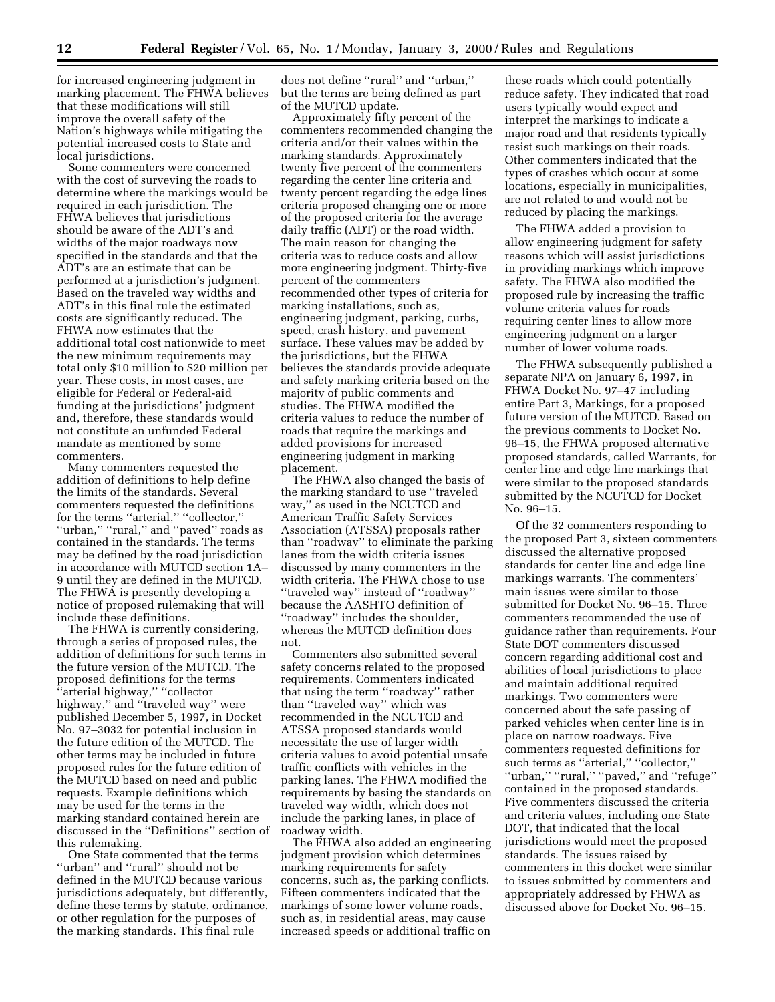for increased engineering judgment in marking placement. The FHWA believes that these modifications will still improve the overall safety of the Nation's highways while mitigating the potential increased costs to State and local jurisdictions.

Some commenters were concerned with the cost of surveying the roads to determine where the markings would be required in each jurisdiction. The FHWA believes that jurisdictions should be aware of the ADT's and widths of the major roadways now specified in the standards and that the ADT's are an estimate that can be performed at a jurisdiction's judgment. Based on the traveled way widths and ADT's in this final rule the estimated costs are significantly reduced. The FHWA now estimates that the additional total cost nationwide to meet the new minimum requirements may total only \$10 million to \$20 million per year. These costs, in most cases, are eligible for Federal or Federal-aid funding at the jurisdictions' judgment and, therefore, these standards would not constitute an unfunded Federal mandate as mentioned by some commenters.

Many commenters requested the addition of definitions to help define the limits of the standards. Several commenters requested the definitions for the terms ''arterial,'' ''collector,'' ''urban,'' ''rural,'' and ''paved'' roads as contained in the standards. The terms may be defined by the road jurisdiction in accordance with MUTCD section 1A– 9 until they are defined in the MUTCD. The FHWA is presently developing a notice of proposed rulemaking that will include these definitions.

The FHWA is currently considering, through a series of proposed rules, the addition of definitions for such terms in the future version of the MUTCD. The proposed definitions for the terms ''arterial highway,'' ''collector highway,'' and ''traveled way'' were published December 5, 1997, in Docket No. 97–3032 for potential inclusion in the future edition of the MUTCD. The other terms may be included in future proposed rules for the future edition of the MUTCD based on need and public requests. Example definitions which may be used for the terms in the marking standard contained herein are discussed in the ''Definitions'' section of this rulemaking.

One State commented that the terms ''urban'' and ''rural'' should not be defined in the MUTCD because various jurisdictions adequately, but differently, define these terms by statute, ordinance, or other regulation for the purposes of the marking standards. This final rule

does not define ''rural'' and ''urban,'' but the terms are being defined as part of the MUTCD update.

Approximately fifty percent of the commenters recommended changing the criteria and/or their values within the marking standards. Approximately twenty five percent of the commenters regarding the center line criteria and twenty percent regarding the edge lines criteria proposed changing one or more of the proposed criteria for the average daily traffic (ADT) or the road width. The main reason for changing the criteria was to reduce costs and allow more engineering judgment. Thirty-five percent of the commenters recommended other types of criteria for marking installations, such as, engineering judgment, parking, curbs, speed, crash history, and pavement surface. These values may be added by the jurisdictions, but the FHWA believes the standards provide adequate and safety marking criteria based on the majority of public comments and studies. The FHWA modified the criteria values to reduce the number of roads that require the markings and added provisions for increased engineering judgment in marking placement.

The FHWA also changed the basis of the marking standard to use ''traveled way,'' as used in the NCUTCD and American Traffic Safety Services Association (ATSSA) proposals rather than ''roadway'' to eliminate the parking lanes from the width criteria issues discussed by many commenters in the width criteria. The FHWA chose to use ''traveled way'' instead of ''roadway'' because the AASHTO definition of ''roadway'' includes the shoulder, whereas the MUTCD definition does not.

Commenters also submitted several safety concerns related to the proposed requirements. Commenters indicated that using the term ''roadway'' rather than ''traveled way'' which was recommended in the NCUTCD and ATSSA proposed standards would necessitate the use of larger width criteria values to avoid potential unsafe traffic conflicts with vehicles in the parking lanes. The FHWA modified the requirements by basing the standards on traveled way width, which does not include the parking lanes, in place of roadway width.

The FHWA also added an engineering judgment provision which determines marking requirements for safety concerns, such as, the parking conflicts. Fifteen commenters indicated that the markings of some lower volume roads, such as, in residential areas, may cause increased speeds or additional traffic on

these roads which could potentially reduce safety. They indicated that road users typically would expect and interpret the markings to indicate a major road and that residents typically resist such markings on their roads. Other commenters indicated that the types of crashes which occur at some locations, especially in municipalities, are not related to and would not be reduced by placing the markings.

The FHWA added a provision to allow engineering judgment for safety reasons which will assist jurisdictions in providing markings which improve safety. The FHWA also modified the proposed rule by increasing the traffic volume criteria values for roads requiring center lines to allow more engineering judgment on a larger number of lower volume roads.

The FHWA subsequently published a separate NPA on January 6, 1997, in FHWA Docket No. 97–47 including entire Part 3, Markings, for a proposed future version of the MUTCD. Based on the previous comments to Docket No. 96–15, the FHWA proposed alternative proposed standards, called Warrants, for center line and edge line markings that were similar to the proposed standards submitted by the NCUTCD for Docket No. 96–15.

Of the 32 commenters responding to the proposed Part 3, sixteen commenters discussed the alternative proposed standards for center line and edge line markings warrants. The commenters' main issues were similar to those submitted for Docket No. 96–15. Three commenters recommended the use of guidance rather than requirements. Four State DOT commenters discussed concern regarding additional cost and abilities of local jurisdictions to place and maintain additional required markings. Two commenters were concerned about the safe passing of parked vehicles when center line is in place on narrow roadways. Five commenters requested definitions for such terms as "arterial," "collector," ''urban,'' ''rural,'' ''paved,'' and ''refuge'' contained in the proposed standards. Five commenters discussed the criteria and criteria values, including one State DOT, that indicated that the local jurisdictions would meet the proposed standards. The issues raised by commenters in this docket were similar to issues submitted by commenters and appropriately addressed by FHWA as discussed above for Docket No. 96–15.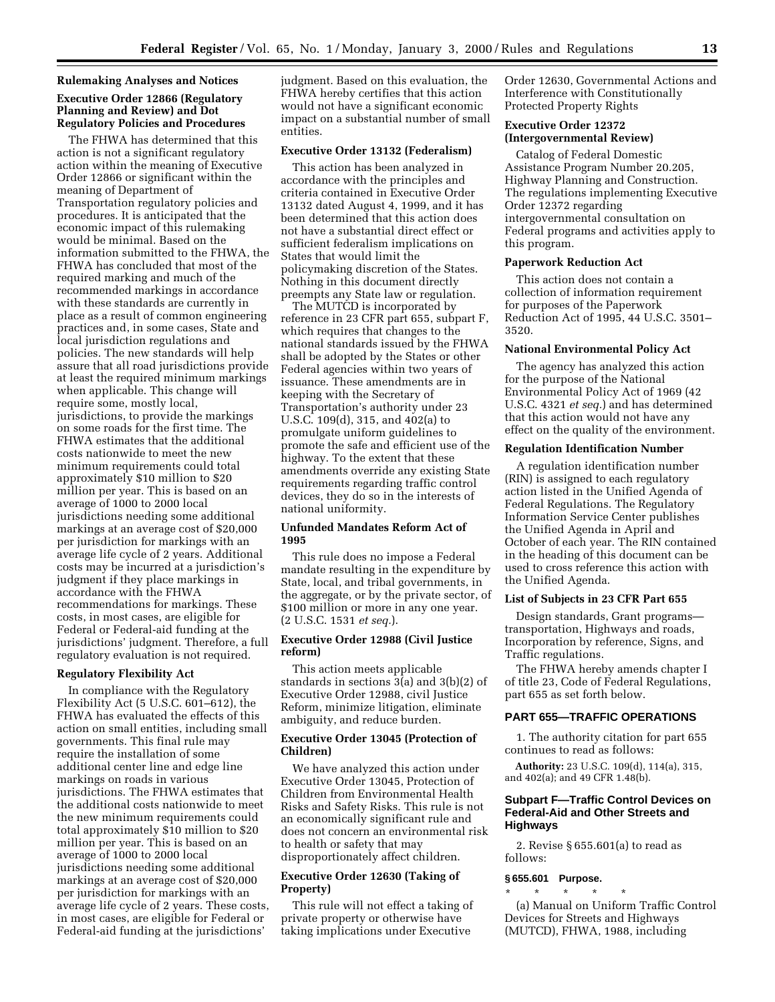### **Rulemaking Analyses and Notices**

## **Executive Order 12866 (Regulatory Planning and Review) and Dot Regulatory Policies and Procedures**

The FHWA has determined that this action is not a significant regulatory action within the meaning of Executive Order 12866 or significant within the meaning of Department of Transportation regulatory policies and procedures. It is anticipated that the economic impact of this rulemaking would be minimal. Based on the information submitted to the FHWA, the FHWA has concluded that most of the required marking and much of the recommended markings in accordance with these standards are currently in place as a result of common engineering practices and, in some cases, State and local jurisdiction regulations and policies. The new standards will help assure that all road jurisdictions provide at least the required minimum markings when applicable. This change will require some, mostly local, jurisdictions, to provide the markings on some roads for the first time. The FHWA estimates that the additional costs nationwide to meet the new minimum requirements could total approximately \$10 million to \$20 million per year. This is based on an average of 1000 to 2000 local jurisdictions needing some additional markings at an average cost of \$20,000 per jurisdiction for markings with an average life cycle of 2 years. Additional costs may be incurred at a jurisdiction's judgment if they place markings in accordance with the FHWA recommendations for markings. These costs, in most cases, are eligible for Federal or Federal-aid funding at the jurisdictions' judgment. Therefore, a full regulatory evaluation is not required.

### **Regulatory Flexibility Act**

In compliance with the Regulatory Flexibility Act (5 U.S.C. 601–612), the FHWA has evaluated the effects of this action on small entities, including small governments. This final rule may require the installation of some additional center line and edge line markings on roads in various jurisdictions. The FHWA estimates that the additional costs nationwide to meet the new minimum requirements could total approximately \$10 million to \$20 million per year. This is based on an average of 1000 to 2000 local jurisdictions needing some additional markings at an average cost of \$20,000 per jurisdiction for markings with an average life cycle of 2 years. These costs, in most cases, are eligible for Federal or Federal-aid funding at the jurisdictions'

judgment. Based on this evaluation, the FHWA hereby certifies that this action would not have a significant economic impact on a substantial number of small entities.

### **Executive Order 13132 (Federalism)**

This action has been analyzed in accordance with the principles and criteria contained in Executive Order 13132 dated August 4, 1999, and it has been determined that this action does not have a substantial direct effect or sufficient federalism implications on States that would limit the policymaking discretion of the States. Nothing in this document directly preempts any State law or regulation.

The MUTCD is incorporated by reference in 23 CFR part 655, subpart F, which requires that changes to the national standards issued by the FHWA shall be adopted by the States or other Federal agencies within two years of issuance. These amendments are in keeping with the Secretary of Transportation's authority under 23 U.S.C. 109(d), 315, and 402(a) to promulgate uniform guidelines to promote the safe and efficient use of the highway. To the extent that these amendments override any existing State requirements regarding traffic control devices, they do so in the interests of national uniformity.

# **Unfunded Mandates Reform Act of 1995**

This rule does no impose a Federal mandate resulting in the expenditure by State, local, and tribal governments, in the aggregate, or by the private sector, of \$100 million or more in any one year. (2 U.S.C. 1531 *et seq.*).

## **Executive Order 12988 (Civil Justice reform)**

This action meets applicable standards in sections 3(a) and 3(b)(2) of Executive Order 12988, civil Justice Reform, minimize litigation, eliminate ambiguity, and reduce burden.

## **Executive Order 13045 (Protection of Children)**

We have analyzed this action under Executive Order 13045, Protection of Children from Environmental Health Risks and Safety Risks. This rule is not an economically significant rule and does not concern an environmental risk to health or safety that may disproportionately affect children.

# **Executive Order 12630 (Taking of Property)**

This rule will not effect a taking of private property or otherwise have taking implications under Executive

Order 12630, Governmental Actions and Interference with Constitutionally Protected Property Rights

# **Executive Order 12372 (Intergovernmental Review)**

Catalog of Federal Domestic Assistance Program Number 20.205, Highway Planning and Construction. The regulations implementing Executive Order 12372 regarding intergovernmental consultation on Federal programs and activities apply to this program.

### **Paperwork Reduction Act**

This action does not contain a collection of information requirement for purposes of the Paperwork Reduction Act of 1995, 44 U.S.C. 3501– 3520.

### **National Environmental Policy Act**

The agency has analyzed this action for the purpose of the National Environmental Policy Act of 1969 (42 U.S.C. 4321 *et seq.*) and has determined that this action would not have any effect on the quality of the environment.

#### **Regulation Identification Number**

A regulation identification number (RIN) is assigned to each regulatory action listed in the Unified Agenda of Federal Regulations. The Regulatory Information Service Center publishes the Unified Agenda in April and October of each year. The RIN contained in the heading of this document can be used to cross reference this action with the Unified Agenda.

### **List of Subjects in 23 CFR Part 655**

Design standards, Grant programs transportation, Highways and roads, Incorporation by reference, Signs, and Traffic regulations.

The FHWA hereby amends chapter I of title 23, Code of Federal Regulations, part 655 as set forth below.

### **PART 655—TRAFFIC OPERATIONS**

1. The authority citation for part 655 continues to read as follows:

**Authority:** 23 U.S.C. 109(d), 114(a), 315, and 402(a); and 49 CFR 1.48(b).

# **Subpart F—Traffic Control Devices on Federal-Aid and Other Streets and Highways**

2. Revise § 655.601(a) to read as follows:

## **§ 655.601 Purpose.**

\* \* \* \* \* (a) Manual on Uniform Traffic Control Devices for Streets and Highways (MUTCD), FHWA, 1988, including